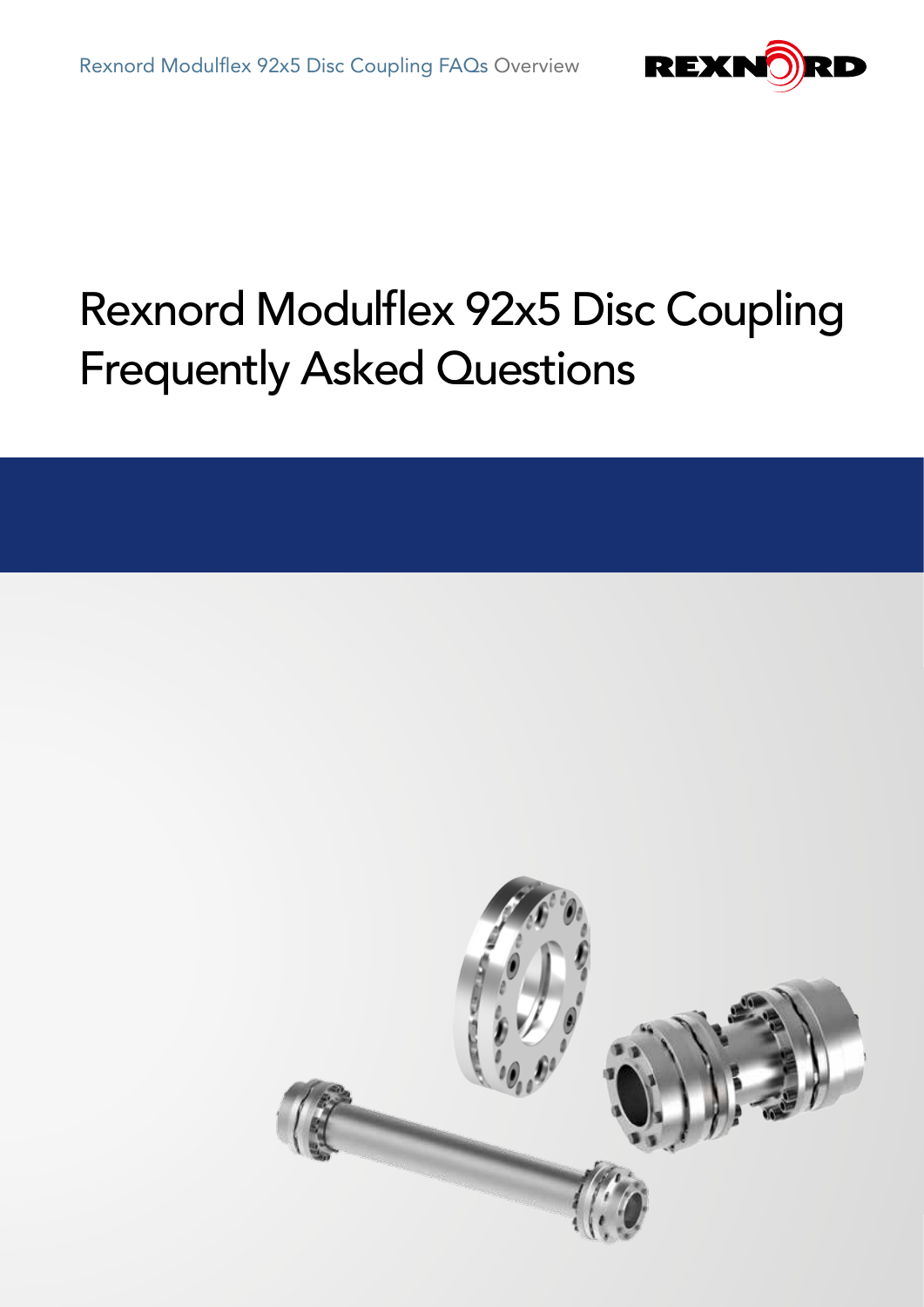

# Rexnord Modulflex 92x5 Disc Coupling Frequently Asked Questions

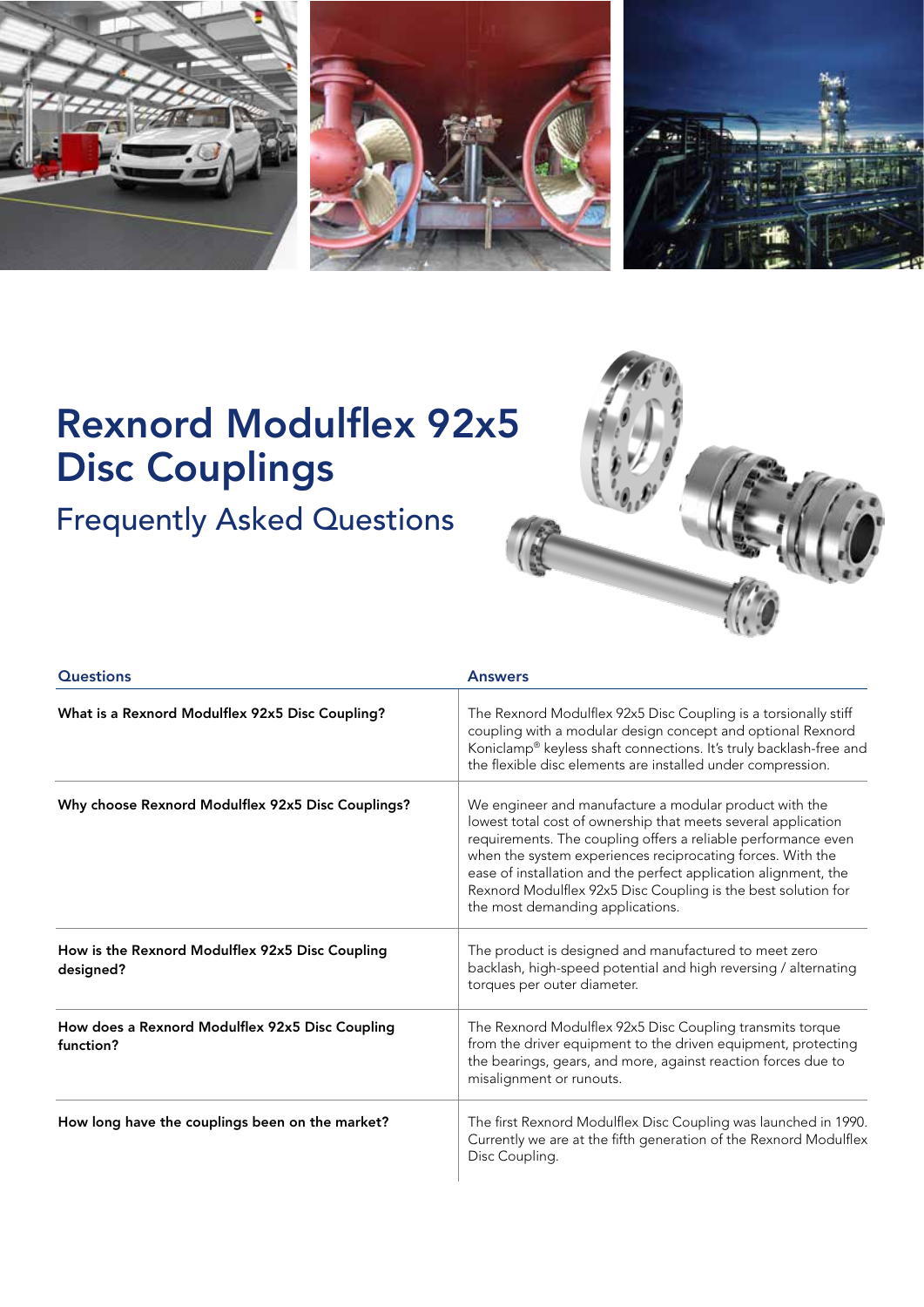





## Rexnord Modulflex 92x5 Disc Couplings

Frequently Asked Questions



| <b>Questions</b>                                             | <b>Answers</b>                                                                                                                                                                                                                                                                                                                                                                                                                 |
|--------------------------------------------------------------|--------------------------------------------------------------------------------------------------------------------------------------------------------------------------------------------------------------------------------------------------------------------------------------------------------------------------------------------------------------------------------------------------------------------------------|
| What is a Rexnord Modulflex 92x5 Disc Coupling?              | The Rexnord Modulflex 92x5 Disc Coupling is a torsionally stiff<br>coupling with a modular design concept and optional Rexnord<br>Koniclamp® keyless shaft connections. It's truly backlash-free and<br>the flexible disc elements are installed under compression.                                                                                                                                                            |
| Why choose Rexnord Modulflex 92x5 Disc Couplings?            | We engineer and manufacture a modular product with the<br>lowest total cost of ownership that meets several application<br>requirements. The coupling offers a reliable performance even<br>when the system experiences reciprocating forces. With the<br>ease of installation and the perfect application alignment, the<br>Rexnord Modulflex 92x5 Disc Coupling is the best solution for<br>the most demanding applications. |
| How is the Rexnord Modulflex 92x5 Disc Coupling<br>designed? | The product is designed and manufactured to meet zero<br>backlash, high-speed potential and high reversing / alternating<br>torques per outer diameter.                                                                                                                                                                                                                                                                        |
| How does a Rexnord Modulflex 92x5 Disc Coupling<br>function? | The Rexnord Modulflex 92x5 Disc Coupling transmits torque<br>from the driver equipment to the driven equipment, protecting<br>the bearings, gears, and more, against reaction forces due to<br>misalignment or runouts.                                                                                                                                                                                                        |
| How long have the couplings been on the market?              | The first Rexnord Modulflex Disc Coupling was launched in 1990.<br>Currently we are at the fifth generation of the Rexnord Modulflex<br>Disc Coupling.                                                                                                                                                                                                                                                                         |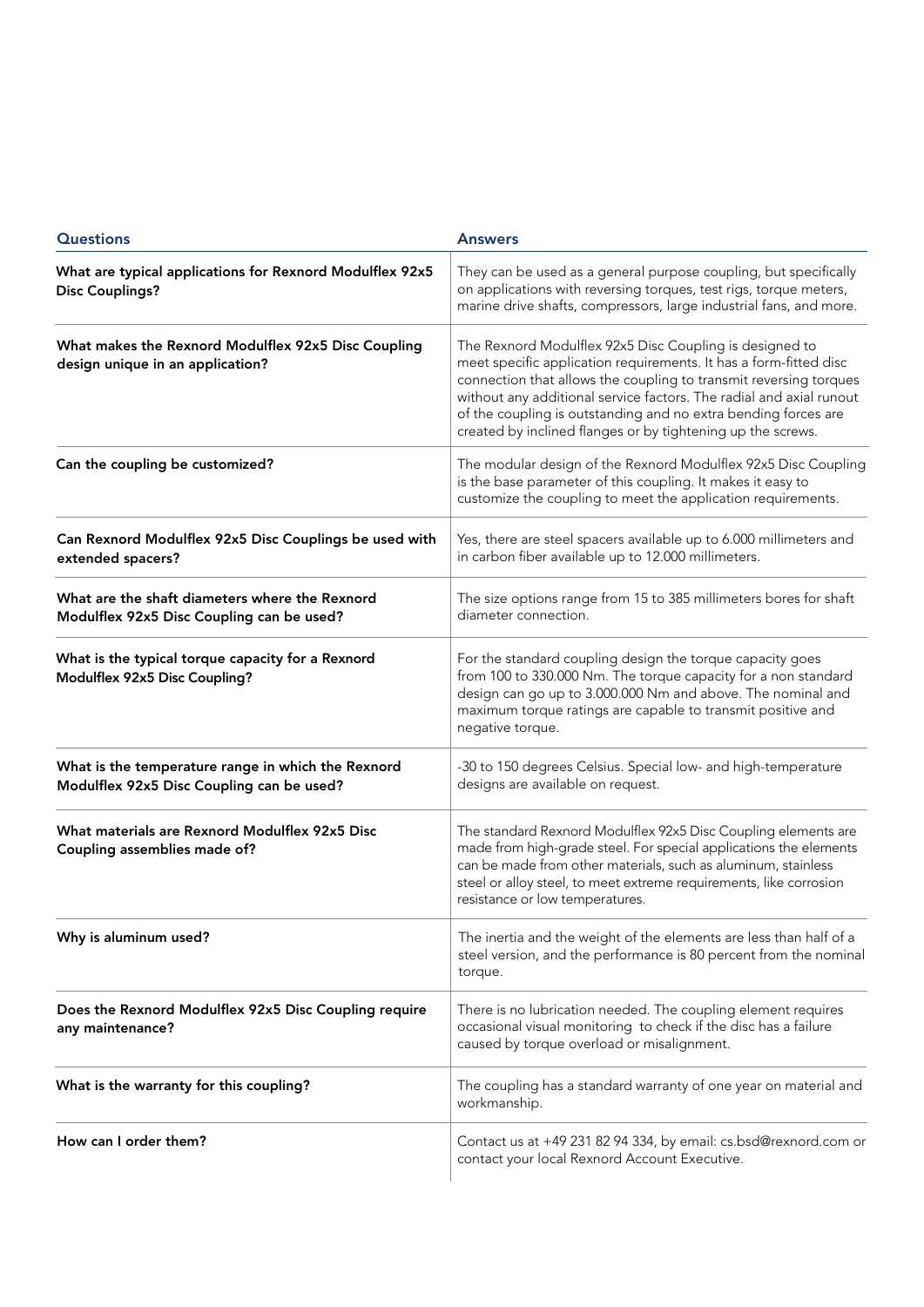| <b>Questions</b>                                                                                | <b>Answers</b>                                                                                                                                                                                                                                                                                                                                                                                            |
|-------------------------------------------------------------------------------------------------|-----------------------------------------------------------------------------------------------------------------------------------------------------------------------------------------------------------------------------------------------------------------------------------------------------------------------------------------------------------------------------------------------------------|
| What are typical applications for Rexnord Modulflex 92x5<br><b>Disc Couplings?</b>              | They can be used as a general purpose coupling, but specifically<br>on applications with reversing torques, test rigs, torque meters,<br>marine drive shafts, compressors, large industrial fans, and more.                                                                                                                                                                                               |
| What makes the Rexnord Modulflex 92x5 Disc Coupling<br>design unique in an application?         | The Rexnord Modulflex 92x5 Disc Coupling is designed to<br>meet specific application requirements. It has a form-fitted disc<br>connection that allows the coupling to transmit reversing torques<br>without any additional service factors. The radial and axial runout<br>of the coupling is outstanding and no extra bending forces are<br>created by inclined flanges or by tightening up the screws. |
| Can the coupling be customized?                                                                 | The modular design of the Rexnord Modulflex 92x5 Disc Coupling<br>is the base parameter of this coupling. It makes it easy to<br>customize the coupling to meet the application requirements.                                                                                                                                                                                                             |
| Can Rexnord Modulflex 92x5 Disc Couplings be used with<br>extended spacers?                     | Yes, there are steel spacers available up to 6.000 millimeters and<br>in carbon fiber available up to 12.000 millimeters.                                                                                                                                                                                                                                                                                 |
| What are the shaft diameters where the Rexnord<br>Modulflex 92x5 Disc Coupling can be used?     | The size options range from 15 to 385 millimeters bores for shaft<br>diameter connection.                                                                                                                                                                                                                                                                                                                 |
| What is the typical torque capacity for a Rexnord<br>Modulflex 92x5 Disc Coupling?              | For the standard coupling design the torque capacity goes<br>from 100 to 330.000 Nm. The torque capacity for a non standard<br>design can go up to 3.000.000 Nm and above. The nominal and<br>maximum torque ratings are capable to transmit positive and<br>negative torque.                                                                                                                             |
| What is the temperature range in which the Rexnord<br>Modulflex 92x5 Disc Coupling can be used? | -30 to 150 degrees Celsius. Special low- and high-temperature<br>designs are available on request.                                                                                                                                                                                                                                                                                                        |
| What materials are Rexnord Modulflex 92x5 Disc<br>Coupling assemblies made of?                  | The standard Rexnord Modulflex 92x5 Disc Coupling elements are<br>made from high-grade steel. For special applications the elements<br>can be made from other materials, such as aluminum, stainless<br>steel or alloy steel, to meet extreme requirements, like corrosion<br>resistance or low temperatures.                                                                                             |
| Why is aluminum used?                                                                           | The inertia and the weight of the elements are less than half of a<br>steel version, and the performance is 80 percent from the nominal<br>torque.                                                                                                                                                                                                                                                        |
| Does the Rexnord Modulflex 92x5 Disc Coupling require<br>any maintenance?                       | There is no lubrication needed. The coupling element requires<br>occasional visual monitoring to check if the disc has a failure<br>caused by torque overload or misalignment.                                                                                                                                                                                                                            |
| What is the warranty for this coupling?                                                         | The coupling has a standard warranty of one year on material and<br>workmanship.                                                                                                                                                                                                                                                                                                                          |
| How can I order them?                                                                           | Contact us at +49 231 82 94 334, by email: cs.bsd@rexnord.com or<br>contact your local Rexnord Account Executive.                                                                                                                                                                                                                                                                                         |